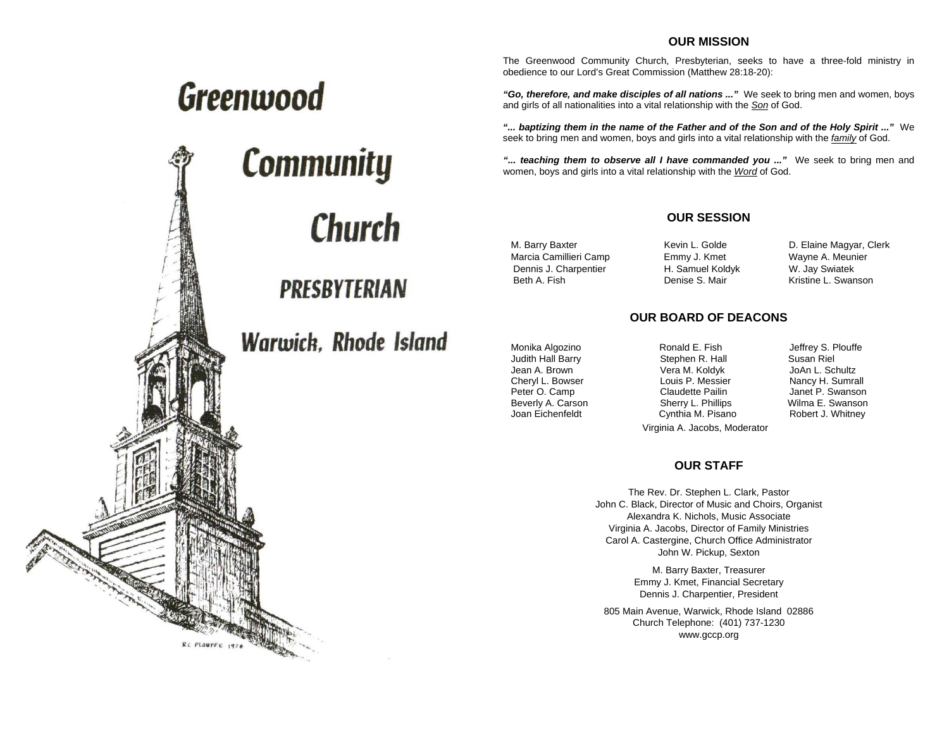#### **OUR MISSION**

The Greenwood Community Church, Presbyterian, seeks to have a three-fold ministry in obedience to our Lord's Great Commission (Matthew 28:18-20):

*"Go, therefore, and make disciples of all nations ..."* We seek to bring men and women, boys and girls of all nationalities into a vital relationship with the *Son* of God.

*"... baptizing them in the name of the Father and of the Son and of the Holy Spirit ..."* We seek to bring men and women, boys and girls into a vital relationship with the *family* of God.

*"... teaching them to observe all I have commanded you ..."* We seek to bring men and women, boys and girls into a vital relationship with the *Word* of God.

#### **OUR SESSION**

 Marcia Camillieri Camp Emmy J. Kmet Wayne A. Meunier Dennis J. Charpentier H. Samuel Koldyk W. Jay Swiatek Beth A. Fish **Denise S. Mair** Kristine L. Swanson

M. Barry Baxter **Kevin L. Golde** D. Elaine Magyar, Clerk

#### **OUR BOARD OF DEACONS**

Monika Algozino **Ronald E. Fish** Jeffrey S. Plouffe Judith Hall Barry Stephen R. Hall Susan Riel Jean A. Brown Vera M. Koldyk JoAn L. Schultz Cheryl L. Bowser **L. A. A. S. Louis P. Messier** Mancy H. Sumrall<br>Peter O. Camp **Claudette Pailin** Janet P. Swansor Beverly A. Carson **Sherry L. Phillips** Wilma E. Swanson Vilma E. Swanson Sherry L. Phillips Wilma E. Swanson Cynthia M. Pisano

Janet P. Swanson

Virginia A. Jacobs, Moderator

#### **OUR STAFF**

The Rev. Dr. Stephen L. Clark, Pastor John C. Black, Director of Music and Choirs, Organist Alexandra K. Nichols, Music Associate Virginia A. Jacobs, Director of Family Ministries Carol A. Castergine, Church Office Administrator John W. Pickup, Sexton

> M. Barry Baxter, Treasurer Emmy J. Kmet, Financial Secretary Dennis J. Charpentier, President

805 Main Avenue, Warwick, Rhode Island 02886 Church Telephone: (401) 737-1230 www.gccp.org

# Greenwood **Community** Church

RC PLOUFFE 1976

## **Warwick, Rhode Island**

**PRESBYTERIAN**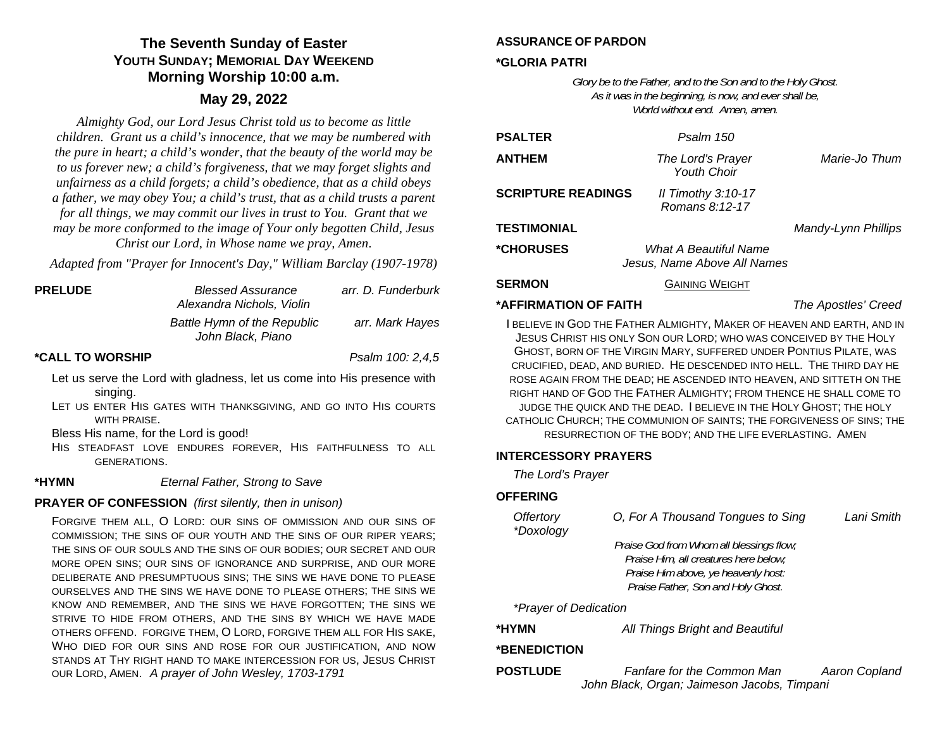### **The Seventh Sunday of Easter YOUTH SUNDAY; MEMORIAL DAY WEEKENDMorning Worship 10:00 a.m.**

#### **May 29, 2022**

*Almighty God, our Lord Jesus Christ told us to become as little children. Grant us a child's innocence, that we may be numbered with the pure in heart; a child's wonder, that the beauty of the world may be to us forever new; a child's forgiveness, that we may forget slights and unfairness as a child forgets; a child's obedience, that as a child obeys a father, we may obey You; a child's trust, that as a child trusts a parent for all things, we may commit our lives in trust to You. Grant that we may be more conformed to the image of Your only begotten Child, Jesus Christ our Lord, in Whose name we pray, Amen*.

*Adapted from "Prayer for Innocent's Day," William Barclay (1907-1978)* 

| <b>PRELUDE</b>          | <b>Blessed Assurance</b><br>Alexandra Nichols, Violin   | arr. D. Funderburk |
|-------------------------|---------------------------------------------------------|--------------------|
|                         | <b>Battle Hymn of the Republic</b><br>John Black, Piano | arr. Mark Hayes    |
| <b>*CALL TO WORSHIP</b> |                                                         | Psalm 100: 2,4,5   |

- Let us serve the Lord with gladness, let us come into His presence with singing.
- LET US ENTER HIS GATES WITH THANKSGIVING, AND GO INTO HIS COURTS WITH PRAISE.

Bless His name, for the Lord is good!

HIS STEADFAST LOVE ENDURES FOREVER, HIS FAITHFULNESS TO ALL GENERATIONS.

**\*HYMN** *Eternal Father, Strong to Save* 

#### **PRAYER OF CONFESSION** *(first silently, then in unison)*

FORGIVE THEM ALL, O LORD: OUR SINS OF OMMISSION AND OUR SINS OF COMMISSION; THE SINS OF OUR YOUTH AND THE SINS OF OUR RIPER YEARS; THE SINS OF OUR SOULS AND THE SINS OF OUR BODIES; OUR SECRET AND OUR MORE OPEN SINS; OUR SINS OF IGNORANCE AND SURPRISE, AND OUR MORE DELIBERATE AND PRESUMPTUOUS SINS; THE SINS WE HAVE DONE TO PLEASE OURSELVES AND THE SINS WE HAVE DONE TO PLEASE OTHERS; THE SINS WE KNOW AND REMEMBER, AND THE SINS WE HAVE FORGOTTEN; THE SINS WE STRIVE TO HIDE FROM OTHERS, AND THE SINS BY WHICH WE HAVE MADE OTHERS OFFEND. FORGIVE THEM, O LORD, FORGIVE THEM ALL FOR HIS SAKE, WHO DIED FOR OUR SINS AND ROSE FOR OUR JUSTIFICATION, AND NOW STANDS AT THY RIGHT HAND TO MAKE INTERCESSION FOR US, JESUS CHRIST OUR LORD, AMEN. *A prayer of John Wesley, 1703-1791* 

#### **ASSURANCE OF PARDON**

#### **\*GLORIA PATRI**

*Glory be to the Father, and to the Son and to the Holy Ghost. As it was in the beginning, is now, and ever shall be, World without end. Amen, amen.* 

| <b>PSALTER</b>            | Psalm 150                                                   |  |                     |  |
|---------------------------|-------------------------------------------------------------|--|---------------------|--|
| <b>ANTHEM</b>             | The Lord's Prayer<br><b>Youth Choir</b>                     |  | Marie-Jo Thum       |  |
| <b>SCRIPTURE READINGS</b> | II Timothy $3:10-17$<br>Romans 8:12-17                      |  |                     |  |
| TESTIMONIAL               |                                                             |  | Mandy-Lynn Phillips |  |
| *CHORUSES                 | <b>What A Beautiful Name</b><br>Jesus, Name Above All Names |  |                     |  |
| <b>SERMON</b>             | <b>GAINING WEIGHT</b>                                       |  |                     |  |
|                           |                                                             |  |                     |  |

#### **\*AFFIRMATION OF FAITH**

*The Apostles' Creed* 

I BELIEVE IN GOD THE FATHER ALMIGHTY, MAKER OF HEAVEN AND EARTH, AND IN JESUS CHRIST HIS ONLY SON OUR LORD; WHO WAS CONCEIVED BY THE HOLY GHOST, BORN OF THE VIRGIN MARY, SUFFERED UNDER PONTIUS PILATE, WAS CRUCIFIED, DEAD, AND BURIED. HE DESCENDED INTO HELL. THE THIRD DAY HE ROSE AGAIN FROM THE DEAD; HE ASCENDED INTO HEAVEN, AND SITTETH ON THE RIGHT HAND OF GOD THE FATHER ALMIGHTY; FROM THENCE HE SHALL COME TO JUDGE THE QUICK AND THE DEAD. I BELIEVE IN THE HOLY GHOST; THE HOLY CATHOLIC CHURCH; THE COMMUNION OF SAINTS; THE FORGIVENESS OF SINS; THE RESURRECTION OF THE BODY; AND THE LIFE EVERLASTING. AMEN

#### **INTERCESSORY PRAYERS**

*The Lord's Prayer* 

#### **OFFERING**

| Offertory<br>*Doxology | Lani Smith<br>O, For A Thousand Tongues to Sing                                                                                                                |  |
|------------------------|----------------------------------------------------------------------------------------------------------------------------------------------------------------|--|
|                        | Praise God from Whom all blessings flow;<br>Praise Him, all creatures here below;<br>Praise Him above, ye heavenly host:<br>Praise Father, Son and Holy Ghost. |  |
| *Prayer of Dedication  |                                                                                                                                                                |  |
| *HYMN                  | All Things Bright and Beautiful                                                                                                                                |  |
| *BENEDICTION           |                                                                                                                                                                |  |
| <b>POSTLUDE</b>        | <b>Fanfare for the Common Man</b><br>Aaron Copland<br>John Black, Organ; Jaimeson Jacobs, Timpani                                                              |  |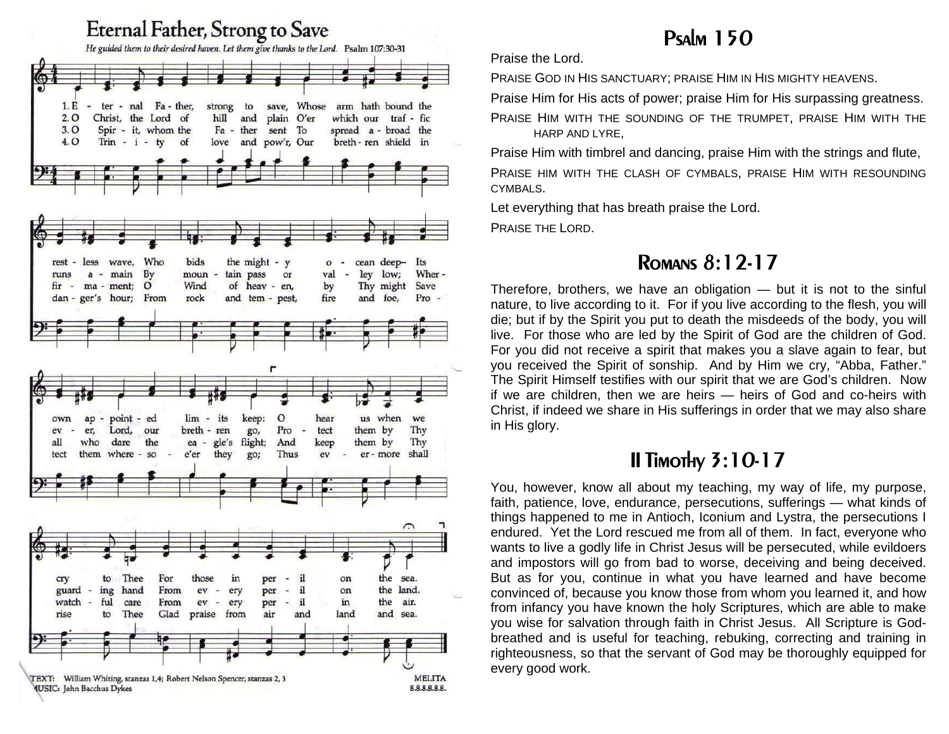

## Psalm 150

Praise the Lord.

PRAISE GOD IN HIS SANCTUARY; PRAISE HIM IN HIS MIGHTY HEAVENS.

Praise Him for His acts of power; praise Him for His surpassing greatness.

PRAISE HIM WITH THE SOUNDING OF THE TRUMPET, PRAISE HIM WITH THE HARP AND LYRE,

Praise Him with timbrel and dancing, praise Him with the strings and flute,

PRAISE HIM WITH THE CLASH OF CYMBALS, PRAISE HIM WITH RESOUNDING CYMBALS.

Let everything that has breath praise the Lord.

PRAISE THE LORD.

## Romans 8:12-17

Therefore, brothers, we have an obligation — but it is not to the sinful nature, to live according to it. For if you live according to the flesh, you will die; but if by the Spirit you put to death the misdeeds of the body, you will live. For those who are led by the Spirit of God are the children of God. For you did not receive a spirit that makes you a slave again to fear, but you received the Spirit of sonship. And by Him we cry, "Abba, Father." The Spirit Himself testifies with our spirit that we are God's children. Now if we are children, then we are heirs — heirs of God and co-heirs with Christ, if indeed we share in His sufferings in order that we may also share in His glory.

## II Timothy 3:10-17

You, however, know all about my teaching, my way of life, my purpose, faith, patience, love, endurance, persecutions, sufferings — what kinds of things happened to me in Antioch, Iconium and Lystra, the persecutions I endured. Yet the Lord rescued me from all of them. In fact, everyone who wants to live a godly life in Christ Jesus will be persecuted, while evildoers and impostors will go from bad to worse, deceiving and being deceived. But as for you, continue in what you have learned and have become convinced of, because you know those from whom you learned it, and how from infancy you have known the holy Scriptures, which are able to make you wise for salvation through faith in Christ Jesus. All Scripture is Godbreathed and is useful for teaching, rebuking, correcting and training in righteousness, so that the servant of God may be thoroughly equipped for every good work.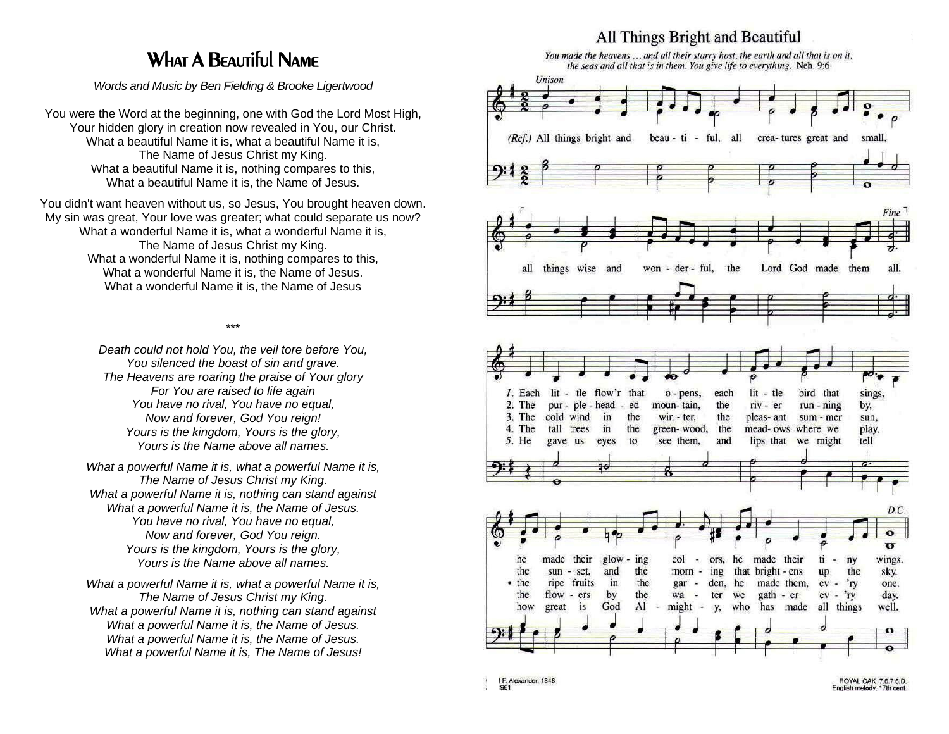## What A Beautiful Name

*Words and Music by Ben Fielding & Brooke Ligertwood* 

You were the Word at the beginning, one with God the Lord Most High, Your hidden glory in creation now revealed in You, our Christ. What a beautiful Name it is, what a beautiful Name it is, The Name of Jesus Christ my King. What a beautiful Name it is, nothing compares to this, What a beautiful Name it is, the Name of Jesus.

You didn't want heaven without us, so Jesus, You brought heaven down. My sin was great, Your love was greater; what could separate us now? What a wonderful Name it is, what a wonderful Name it is, The Name of Jesus Christ my King. What a wonderful Name it is, nothing compares to this, What a wonderful Name it is, the Name of Jesus. What a wonderful Name it is, the Name of Jesus

\*\*\*

*Death could not hold You, the veil tore before You, You silenced the boast of sin and grave. The Heavens are roaring the praise of Your glory For You are raised to life again You have no rival, You have no equal, Now and forever, God You reign! Yours is the kingdom, Yours is the glory, Yours is the Name above all names.* 

*What a powerful Name it is, what a powerful Name it is, The Name of Jesus Christ my King. What a powerful Name it is, nothing can stand against What a powerful Name it is, the Name of Jesus. You have no rival, You have no equal, Now and forever, God You reign. Yours is the kingdom, Yours is the glory, Yours is the Name above all names.* 

*What a powerful Name it is, what a powerful Name it is, The Name of Jesus Christ my King. What a powerful Name it is, nothing can stand against What a powerful Name it is, the Name of Jesus. What a powerful Name it is, the Name of Jesus. What a powerful Name it is, The Name of Jesus!*